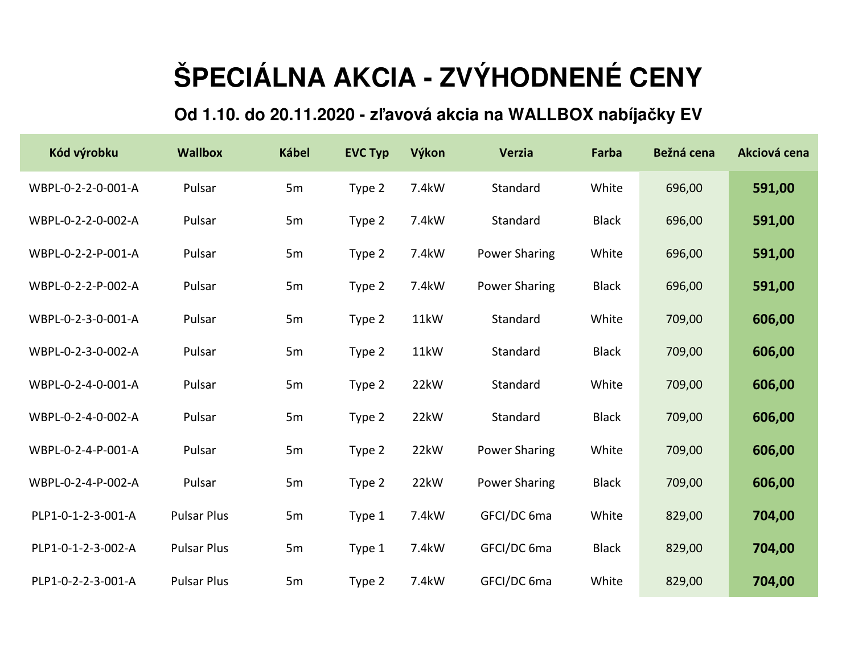## **ŠPECIÁLNA AKCIA - ZVÝHODNENÉ CENY**

## **Od 1.10. do 20.11.2020 - zľavová akcia na WALLBOX nabíjačky EV**

| Kód výrobku        | <b>Wallbox</b>     | <b>Kábel</b> | <b>EVC Typ</b> | Výkon | <b>Verzia</b>        | Farba        | Bežná cena | Akciová cena |
|--------------------|--------------------|--------------|----------------|-------|----------------------|--------------|------------|--------------|
| WBPL-0-2-2-0-001-A | Pulsar             | 5m           | Type 2         | 7.4kW | Standard             | White        | 696,00     | 591,00       |
| WBPL-0-2-2-0-002-A | Pulsar             | 5m           | Type 2         | 7.4kW | Standard             | <b>Black</b> | 696,00     | 591,00       |
| WBPL-0-2-2-P-001-A | Pulsar             | 5m           | Type 2         | 7.4kW | <b>Power Sharing</b> | White        | 696,00     | 591,00       |
| WBPL-0-2-2-P-002-A | Pulsar             | 5m           | Type 2         | 7.4kW | <b>Power Sharing</b> | <b>Black</b> | 696,00     | 591,00       |
| WBPL-0-2-3-0-001-A | Pulsar             | 5m           | Type 2         | 11kW  | Standard             | White        | 709,00     | 606,00       |
| WBPL-0-2-3-0-002-A | Pulsar             | 5m           | Type 2         | 11kW  | Standard             | <b>Black</b> | 709,00     | 606,00       |
| WBPL-0-2-4-0-001-A | Pulsar             | 5m           | Type 2         | 22kW  | Standard             | White        | 709,00     | 606,00       |
| WBPL-0-2-4-0-002-A | Pulsar             | 5m           | Type 2         | 22kW  | Standard             | <b>Black</b> | 709,00     | 606,00       |
| WBPL-0-2-4-P-001-A | Pulsar             | 5m           | Type 2         | 22kW  | <b>Power Sharing</b> | White        | 709,00     | 606,00       |
| WBPL-0-2-4-P-002-A | Pulsar             | 5m           | Type 2         | 22kW  | <b>Power Sharing</b> | <b>Black</b> | 709,00     | 606,00       |
| PLP1-0-1-2-3-001-A | <b>Pulsar Plus</b> | 5m           | Type 1         | 7.4kW | GFCI/DC 6ma          | White        | 829,00     | 704,00       |
| PLP1-0-1-2-3-002-A | <b>Pulsar Plus</b> | 5m           | Type 1         | 7.4kW | GFCI/DC 6ma          | <b>Black</b> | 829,00     | 704,00       |
| PLP1-0-2-2-3-001-A | <b>Pulsar Plus</b> | 5m           | Type 2         | 7.4kW | GFCI/DC 6ma          | White        | 829,00     | 704,00       |